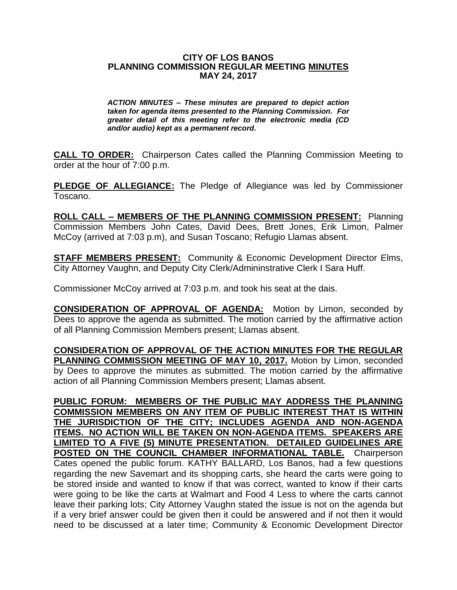## **CITY OF LOS BANOS PLANNING COMMISSION REGULAR MEETING MINUTES MAY 24, 2017**

*ACTION MINUTES – These minutes are prepared to depict action taken for agenda items presented to the Planning Commission. For greater detail of this meeting refer to the electronic media (CD and/or audio) kept as a permanent record.*

**CALL TO ORDER:** Chairperson Cates called the Planning Commission Meeting to order at the hour of 7:00 p.m.

**PLEDGE OF ALLEGIANCE:** The Pledge of Allegiance was led by Commissioner Toscano.

**ROLL CALL – MEMBERS OF THE PLANNING COMMISSION PRESENT:** Planning Commission Members John Cates, David Dees, Brett Jones, Erik Limon, Palmer McCoy (arrived at 7:03 p.m), and Susan Toscano; Refugio Llamas absent.

**STAFF MEMBERS PRESENT:** Community & Economic Development Director Elms, City Attorney Vaughn, and Deputy City Clerk/Admininstrative Clerk I Sara Huff.

Commissioner McCoy arrived at 7:03 p.m. and took his seat at the dais.

**CONSIDERATION OF APPROVAL OF AGENDA:** Motion by Limon, seconded by Dees to approve the agenda as submitted. The motion carried by the affirmative action of all Planning Commission Members present; Llamas absent.

**CONSIDERATION OF APPROVAL OF THE ACTION MINUTES FOR THE REGULAR PLANNING COMMISSION MEETING OF MAY 10, 2017.** Motion by Limon, seconded by Dees to approve the minutes as submitted. The motion carried by the affirmative action of all Planning Commission Members present; Llamas absent.

**PUBLIC FORUM: MEMBERS OF THE PUBLIC MAY ADDRESS THE PLANNING COMMISSION MEMBERS ON ANY ITEM OF PUBLIC INTEREST THAT IS WITHIN THE JURISDICTION OF THE CITY; INCLUDES AGENDA AND NON-AGENDA ITEMS. NO ACTION WILL BE TAKEN ON NON-AGENDA ITEMS. SPEAKERS ARE LIMITED TO A FIVE (5) MINUTE PRESENTATION. DETAILED GUIDELINES ARE POSTED ON THE COUNCIL CHAMBER INFORMATIONAL TABLE.** Chairperson Cates opened the public forum. KATHY BALLARD, Los Banos, had a few questions regarding the new Savemart and its shopping carts, she heard the carts were going to be stored inside and wanted to know if that was correct, wanted to know if their carts were going to be like the carts at Walmart and Food 4 Less to where the carts cannot leave their parking lots; City Attorney Vaughn stated the issue is not on the agenda but if a very brief answer could be given then it could be answered and if not then it would need to be discussed at a later time; Community & Economic Development Director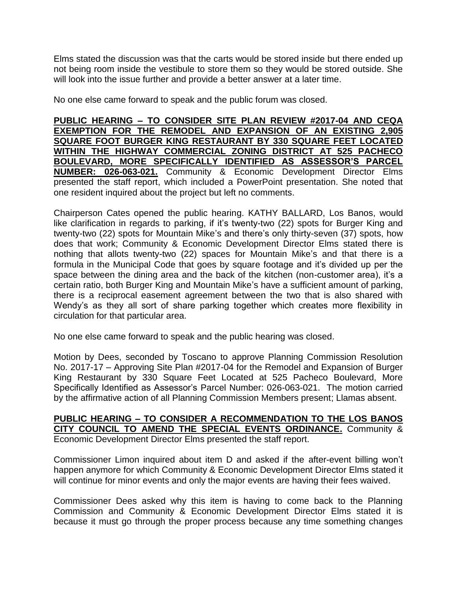Elms stated the discussion was that the carts would be stored inside but there ended up not being room inside the vestibule to store them so they would be stored outside. She will look into the issue further and provide a better answer at a later time.

No one else came forward to speak and the public forum was closed.

**PUBLIC HEARING – TO CONSIDER SITE PLAN REVIEW #2017-04 AND CEQA EXEMPTION FOR THE REMODEL AND EXPANSION OF AN EXISTING 2,905 SQUARE FOOT BURGER KING RESTAURANT BY 330 SQUARE FEET LOCATED WITHIN THE HIGHWAY COMMERCIAL ZONING DISTRICT AT 525 PACHECO BOULEVARD, MORE SPECIFICALLY IDENTIFIED AS ASSESSOR'S PARCEL NUMBER: 026-063-021.** Community & Economic Development Director Elms presented the staff report, which included a PowerPoint presentation. She noted that one resident inquired about the project but left no comments.

Chairperson Cates opened the public hearing. KATHY BALLARD, Los Banos, would like clarification in regards to parking, if it's twenty-two (22) spots for Burger King and twenty-two (22) spots for Mountain Mike's and there's only thirty-seven (37) spots, how does that work; Community & Economic Development Director Elms stated there is nothing that allots twenty-two (22) spaces for Mountain Mike's and that there is a formula in the Municipal Code that goes by square footage and it's divided up per the space between the dining area and the back of the kitchen (non-customer area), it's a certain ratio, both Burger King and Mountain Mike's have a sufficient amount of parking, there is a reciprocal easement agreement between the two that is also shared with Wendy's as they all sort of share parking together which creates more flexibility in circulation for that particular area.

No one else came forward to speak and the public hearing was closed.

Motion by Dees, seconded by Toscano to approve Planning Commission Resolution No. 2017-17 – Approving Site Plan #2017-04 for the Remodel and Expansion of Burger King Restaurant by 330 Square Feet Located at 525 Pacheco Boulevard, More Specifically Identified as Assessor's Parcel Number: 026-063-021. The motion carried by the affirmative action of all Planning Commission Members present; Llamas absent.

## **PUBLIC HEARING – TO CONSIDER A RECOMMENDATION TO THE LOS BANOS CITY COUNCIL TO AMEND THE SPECIAL EVENTS ORDINANCE.** Community & Economic Development Director Elms presented the staff report.

Commissioner Limon inquired about item D and asked if the after-event billing won't happen anymore for which Community & Economic Development Director Elms stated it will continue for minor events and only the major events are having their fees waived.

Commissioner Dees asked why this item is having to come back to the Planning Commission and Community & Economic Development Director Elms stated it is because it must go through the proper process because any time something changes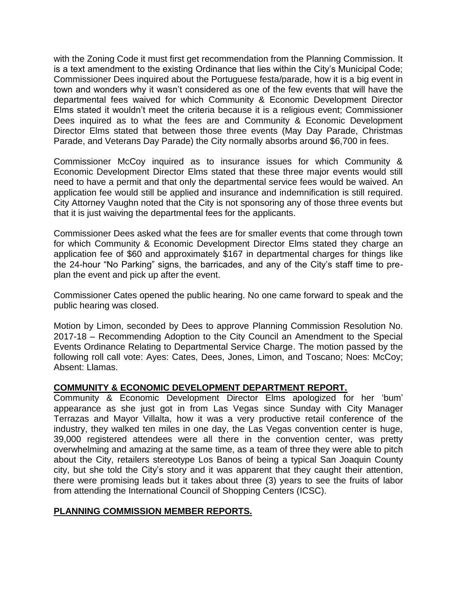with the Zoning Code it must first get recommendation from the Planning Commission. It is a text amendment to the existing Ordinance that lies within the City's Municipal Code; Commissioner Dees inquired about the Portuguese festa/parade, how it is a big event in town and wonders why it wasn't considered as one of the few events that will have the departmental fees waived for which Community & Economic Development Director Elms stated it wouldn't meet the criteria because it is a religious event; Commissioner Dees inquired as to what the fees are and Community & Economic Development Director Elms stated that between those three events (May Day Parade, Christmas Parade, and Veterans Day Parade) the City normally absorbs around \$6,700 in fees.

Commissioner McCoy inquired as to insurance issues for which Community & Economic Development Director Elms stated that these three major events would still need to have a permit and that only the departmental service fees would be waived. An application fee would still be applied and insurance and indemnification is still required. City Attorney Vaughn noted that the City is not sponsoring any of those three events but that it is just waiving the departmental fees for the applicants.

Commissioner Dees asked what the fees are for smaller events that come through town for which Community & Economic Development Director Elms stated they charge an application fee of \$60 and approximately \$167 in departmental charges for things like the 24-hour "No Parking" signs, the barricades, and any of the City's staff time to preplan the event and pick up after the event.

Commissioner Cates opened the public hearing. No one came forward to speak and the public hearing was closed.

Motion by Limon, seconded by Dees to approve Planning Commission Resolution No. 2017-18 – Recommending Adoption to the City Council an Amendment to the Special Events Ordinance Relating to Departmental Service Charge. The motion passed by the following roll call vote: Ayes: Cates, Dees, Jones, Limon, and Toscano; Noes: McCoy; Absent: Llamas.

## **COMMUNITY & ECONOMIC DEVELOPMENT DEPARTMENT REPORT.**

Community & Economic Development Director Elms apologized for her 'bum' appearance as she just got in from Las Vegas since Sunday with City Manager Terrazas and Mayor Villalta, how it was a very productive retail conference of the industry, they walked ten miles in one day, the Las Vegas convention center is huge, 39,000 registered attendees were all there in the convention center, was pretty overwhelming and amazing at the same time, as a team of three they were able to pitch about the City, retailers stereotype Los Banos of being a typical San Joaquin County city, but she told the City's story and it was apparent that they caught their attention, there were promising leads but it takes about three (3) years to see the fruits of labor from attending the International Council of Shopping Centers (ICSC).

## **PLANNING COMMISSION MEMBER REPORTS.**